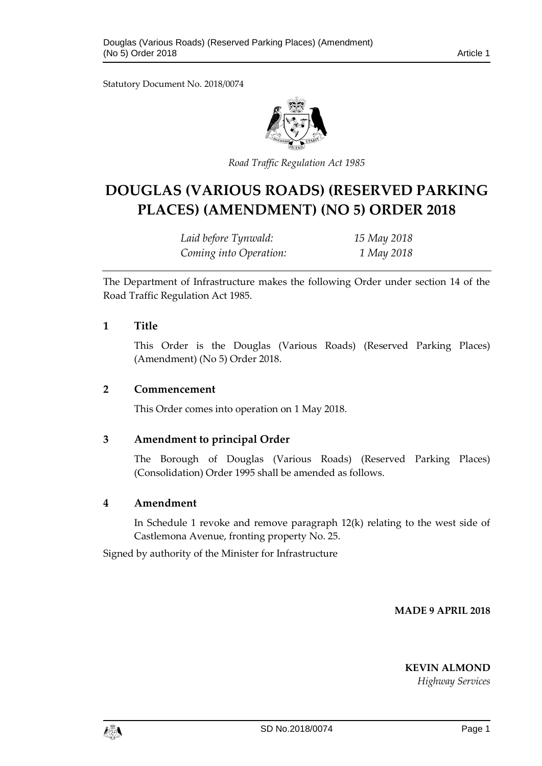Statutory Document No. 2018/0074



*Road Traffic Regulation Act 1985*

# **DOUGLAS (VARIOUS ROADS) (RESERVED PARKING PLACES) (AMENDMENT) (NO 5) ORDER 2018**

| Laid before Tynwald:   | 15 May 2018 |
|------------------------|-------------|
| Coming into Operation: | 1 May 2018  |

The Department of Infrastructure makes the following Order under section 14 of the Road Traffic Regulation Act 1985.

### **1 Title**

This Order is the Douglas (Various Roads) (Reserved Parking Places) (Amendment) (No 5) Order 2018.

#### **2 Commencement**

This Order comes into operation on 1 May 2018.

## **3 Amendment to principal Order**

The Borough of Douglas (Various Roads) (Reserved Parking Places) (Consolidation) Order 1995 shall be amended as follows.

## **4 Amendment**

In Schedule 1 revoke and remove paragraph 12(k) relating to the west side of Castlemona Avenue, fronting property No. 25.

Signed by authority of the Minister for Infrastructure

**MADE 9 APRIL 2018**

**KEVIN ALMOND**

*Highway Services*